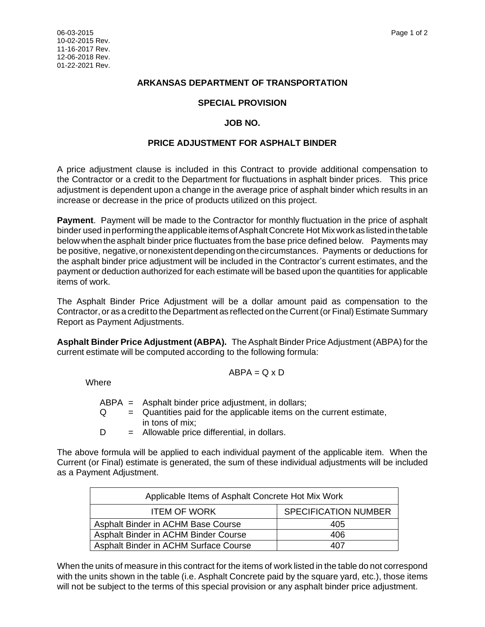# **ARKANSAS DEPARTMENT OF TRANSPORTATION**

# **SPECIAL PROVISION**

# **JOB NO.**

### **PRICE ADJUSTMENT FOR ASPHALT BINDER**

A price adjustment clause is included in this Contract to provide additional compensation to the Contractor or a credit to the Department for fluctuations in asphalt binder prices. This price adjustment is dependent upon a change in the average price of asphalt binder which results in an increase or decrease in the price of products utilized on this project.

**Payment**. Payment will be made to the Contractor for monthly fluctuation in the price of asphalt binder used in performing the applicable items of Asphalt Concrete Hot Mix work as listed in the table below when the asphalt binder price fluctuates from the base price defined below. Payments may be positive, negative, or nonexistent depending on the circumstances. Payments or deductions for the asphalt binder price adjustment will be included in the Contractor's current estimates, and the payment or deduction authorized for each estimate will be based upon the quantities for applicable items of work.

The Asphalt Binder Price Adjustment will be a dollar amount paid as compensation to the Contractor, or as a credit to the Department as reflected on the Current (or Final) Estimate Summary Report as Payment Adjustments.

**Asphalt Binder Price Adjustment (ABPA).** The Asphalt Binder Price Adjustment (ABPA) for the current estimate will be computed according to the following formula:

$$
ABPA = Q \times D
$$

Where

|          | $ABPA$ = Asphalt binder price adjustment, in dollars;                 |
|----------|-----------------------------------------------------------------------|
| $\Omega$ | $=$ Quantities paid for the applicable items on the current estimate, |
|          | in tons of mix;                                                       |
| D        | $=$ Allowable price differential, in dollars.                         |

The above formula will be applied to each individual payment of the applicable item. When the Current (or Final) estimate is generated, the sum of these individual adjustments will be included as a Payment Adjustment.

| Applicable Items of Asphalt Concrete Hot Mix Work |                             |  |  |
|---------------------------------------------------|-----------------------------|--|--|
| <b>ITEM OF WORK</b>                               | <b>SPECIFICATION NUMBER</b> |  |  |
| Asphalt Binder in ACHM Base Course                | 405                         |  |  |
| Asphalt Binder in ACHM Binder Course              | 406                         |  |  |
| Asphalt Binder in ACHM Surface Course             | 407                         |  |  |

When the units of measure in this contract for the items of work listed in the table do not correspond with the units shown in the table (i.e. Asphalt Concrete paid by the square yard, etc.), those items will not be subject to the terms of this special provision or any asphalt binder price adjustment.